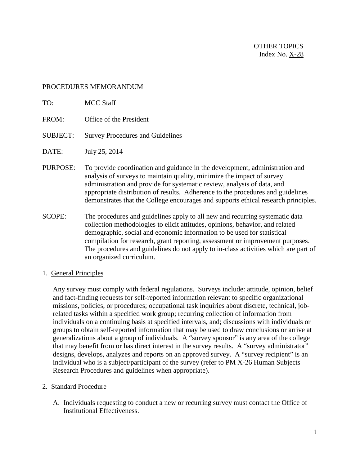OTHER TOPICS Index No.  $X-28$ 

## PROCEDURES MEMORANDUM

- TO: MCC Staff
- FROM: Office of the President
- SUBJECT: Survey Procedures and Guidelines
- DATE: July 25, 2014
- PURPOSE: To provide coordination and guidance in the development, administration and analysis of surveys to maintain quality, minimize the impact of survey administration and provide for systematic review, analysis of data, and appropriate distribution of results. Adherence to the procedures and guidelines demonstrates that the College encourages and supports ethical research principles.
- SCOPE: The procedures and guidelines apply to all new and recurring systematic data collection methodologies to elicit attitudes, opinions, behavior, and related demographic, social and economic information to be used for statistical compilation for research, grant reporting, assessment or improvement purposes. The procedures and guidelines do not apply to in-class activities which are part of an organized curriculum.
- 1. General Principles

Any survey must comply with federal regulations. Surveys include: attitude, opinion, belief and fact-finding requests for self-reported information relevant to specific organizational missions, policies, or procedures; occupational task inquiries about discrete, technical, jobrelated tasks within a specified work group; recurring collection of information from individuals on a continuing basis at specified intervals, and; discussions with individuals or groups to obtain self-reported information that may be used to draw conclusions or arrive at generalizations about a group of individuals. A "survey sponsor" is any area of the college that may benefit from or has direct interest in the survey results. A "survey administrator" designs, develops, analyzes and reports on an approved survey. A "survey recipient" is an individual who is a subject/participant of the survey (refer to PM X-26 Human Subjects Research Procedures and guidelines when appropriate).

- 2. Standard Procedure
	- A. Individuals requesting to conduct a new or recurring survey must contact the Office of Institutional Effectiveness.